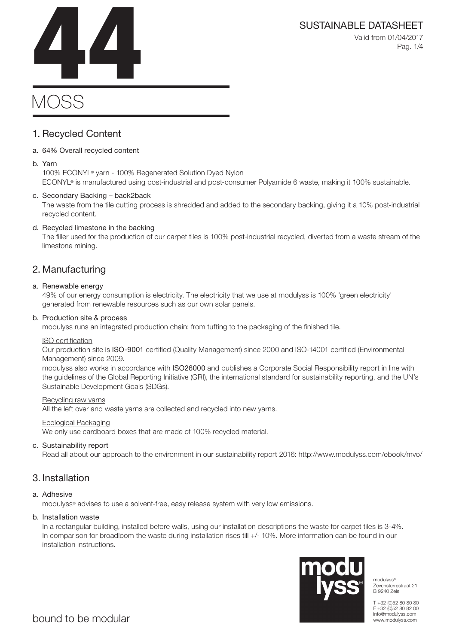Valid from 01/04/2017 Pag. 1/4

# **MOSS** SUSTAINABLE DATASHEET<br>Valid from 01/04/2017<br>Pag. 1/4

# 1. Recycled Content

# a. 64% Overall recycled content

# b. Yarn

100% ECONYL® yarn - 100% Regenerated Solution Dyed Nylon ECONYL® is manufactured using post-industrial and post-consumer Polyamide 6 waste, making it 100% sustainable.

# c. Secondary Backing – back2back

The waste from the tile cutting process is shredded and added to the secondary backing, giving it a 10% post-industrial recycled content.

# d. Recycled limestone in the backing

The filler used for the production of our carpet tiles is 100% post-industrial recycled, diverted from a waste stream of the limestone mining.

# 2. Manufacturing

# a. Renewable energy

49% of our energy consumption is electricity. The electricity that we use at modulyss is 100% 'green electricity' generated from renewable resources such as our own solar panels.

# b. Production site & process

modulyss runs an integrated production chain: from tufting to the packaging of the finished tile.

# ISO certification

Our production site is ISO-9001 certified (Quality Management) since 2000 and ISO-14001 certified (Environmental Management) since 2009.

modulyss also works in accordance with ISO26000 and publishes a Corporate Social Responsibility report in line with the guidelines of the Global Reporting Initiative (GRI), the international standard for sustainability reporting, and the UN's Sustainable Development Goals (SDGs).

### Recycling raw yarns

All the left over and waste yarns are collected and recycled into new yarns.

# Ecological Packaging

We only use cardboard boxes that are made of 100% recycled material.

# c. Sustainability report

Read all about our approach to the environment in our sustainability report 2016: http://www.modulyss.com/ebook/mvo/

# 3. Installation

# a. Adhesive

modulyss® advises to use a solvent-free, easy release system with very low emissions.

# b. Installation waste

In a rectangular building, installed before walls, using our installation descriptions the waste for carpet tiles is 3-4%. In comparison for broadloom the waste during installation rises till +/- 10%. More information can be found in our installation instructions.



modulyss<sup>®</sup> Zevensterrestraat 21 B 9240 Zele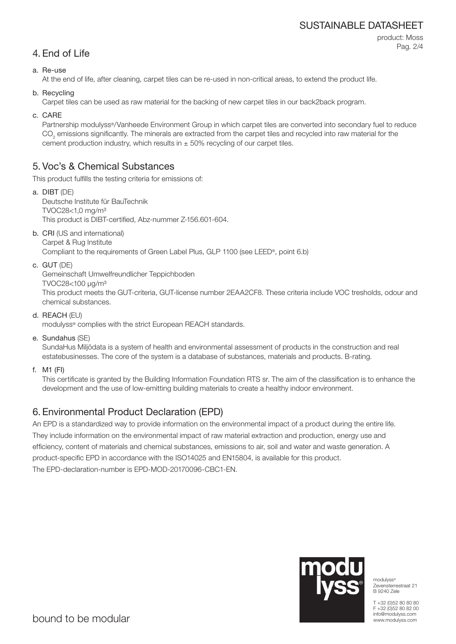# SUSTAINABLE DATASHEET

```
4. End of Life
```
product: Moss Pag. 2/4

# a. Re-use

At the end of life, after cleaning, carpet tiles can be re-used in non-critical areas, to extend the product life.

b. Recycling

Carpet tiles can be used as raw material for the backing of new carpet tiles in our back2back program.

c. CARE

Partnership modulyss®/Vanheede Environment Group in which carpet tiles are converted into secondary fuel to reduce  $\mathrm{CO}_2$  emissions significantly. The minerals are extracted from the carpet tiles and recycled into raw material for the cement production industry, which results in  $\pm$  50% recycling of our carpet tiles.

# 5. Voc's & Chemical Substances

This product fulfills the testing criteria for emissions of:

- a. DIBT (DE) Deutsche Institute für BauTechnik TVOC28<1,0 mg/m³ This product is DIBT-certified, Abz-nummer Z-156.601-604.
- b. CRI (US and international) Carpet & Rug Institute

Compliant to the requirements of Green Label Plus, GLP 1100 (see LEED®, point 6.b)

c. GUT (DE)

Gemeinschaft Umwelfreundlicher Teppichboden

TVOC28<100 μg/m³

This product meets the GUT-criteria, GUT-license number 2EAA2CF8. These criteria include VOC tresholds, odour and chemical substances.

d. REACH (EU)

modulyss® complies with the strict European REACH standards.

e. Sundahus (SE)

SundaHus Miljödata is a system of health and environmental assessment of products in the construction and real estatebusinesses. The core of the system is a database of substances, materials and products. B-rating.

f. M1 (FI)

This certificate is granted by the Building Information Foundation RTS sr. The aim of the classification is to enhance the development and the use of low-emitting building materials to create a healthy indoor environment.

# 6. Environmental Product Declaration (EPD)

An EPD is a standardized way to provide information on the environmental impact of a product during the entire life. They include information on the environmental impact of raw material extraction and production, energy use and efficiency, content of materials and chemical substances, emissions to air, soil and water and waste generation. A product-specific EPD in accordance with the ISO14025 and EN15804, is available for this product. The EPD-declaration-number is EPD-MOD-20170096-CBC1-EN.



modulyss® Zevensterrestraat 21 B 9240 Zele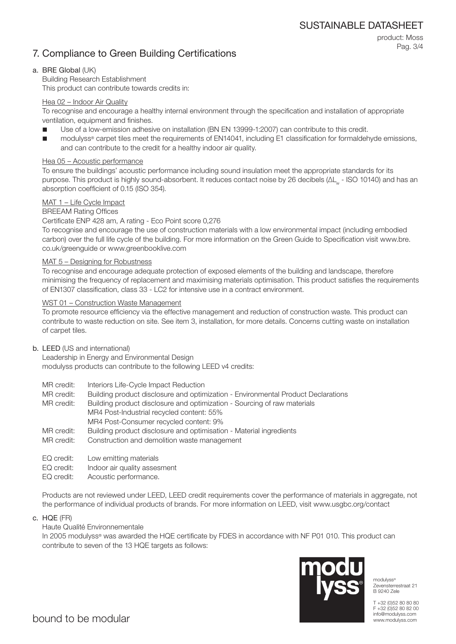# 7. Compliance to Green Building Certifications

product: Moss Pag. 3/4

# a. BRE Global (UK)

Building Research Establishment This product can contribute towards credits in:

# Hea 02 – Indoor Air Quality

To recognise and encourage a healthy internal environment through the specification and installation of appropriate ventilation, equipment and finishes.

- Use of a low-emission adhesive on installation (BN EN 13999-1:2007) can contribute to this credit.
- modulyss® carpet tiles meet the requirements of EN14041, including E1 classification for formaldehyde emissions, and can contribute to the credit for a healthy indoor air quality.

# Hea 05 – Acoustic performance

To ensure the buildings' acoustic performance including sound insulation meet the appropriate standards for its purpose. This product is highly sound-absorbent. It reduces contact noise by 26 decibels (ΔL<sub>w</sub> - ISO 10140) and has an absorption coefficient of 0.15 (ISO 354).

# MAT 1 – Life Cycle Impact

# BREEAM Rating Offices

### Certificate ENP 428 am, A rating - Eco Point score 0,276

To recognise and encourage the use of construction materials with a low environmental impact (including embodied carbon) over the full life cycle of the building. For more information on the Green Guide to Specification visit www.bre. co.uk/greenguide or www.greenbooklive.com

### MAT 5 – Designing for Robustness

To recognise and encourage adequate protection of exposed elements of the building and landscape, therefore minimising the frequency of replacement and maximising materials optimisation. This product satisfies the requirements of EN1307 classification, class 33 - LC2 for intensive use in a contract environment.

# WST 01 – Construction Waste Management

To promote resource efficiency via the effective management and reduction of construction waste. This product can contribute to waste reduction on site. See item 3, installation, for more details. Concerns cutting waste on installation of carpet tiles.

### b. LEED (US and international)

Leadership in Energy and Environmental Design modulyss products can contribute to the following LEED v4 credits:

- MR credit: Interiors Life-Cycle Impact Reduction
- MR credit: Building product disclosure and optimization Environmental Product Declarations

MR credit: Building product disclosure and optimization - Sourcing of raw materials MR4 Post-Industrial recycled content: 55% MR4 Post-Consumer recycled content: 9%

- MR credit: Building product disclosure and optimisation Material ingredients
- MR credit: Construction and demolition waste management
- EQ credit: Low emitting materials
- EQ credit: Indoor air quality assesment
- EQ credit: Acoustic performance.

Products are not reviewed under LEED, LEED credit requirements cover the performance of materials in aggregate, not the performance of individual products of brands. For more information on LEED, visit www.usgbc.org/contact

c. HQE (FR)

# Haute Qualité Environnementale

In 2005 modulyss® was awarded the HQE certificate by FDES in accordance with NF P01 010. This product can contribute to seven of the 13 HQE targets as follows:



modulyss® Zevensterrestraat 21 B 9240 Zele